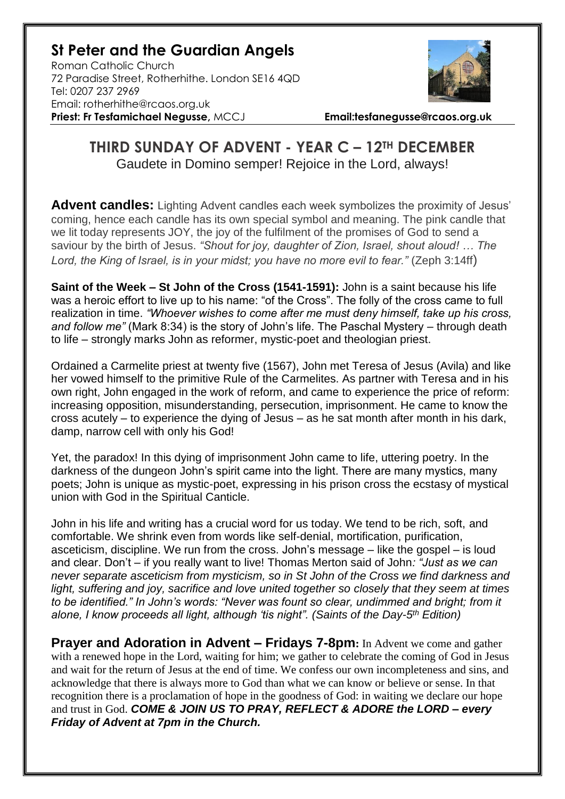## **St Peter and the Guardian Angels**

Roman Catholic Church 72 Paradise Street, Rotherhithe. London SE16 4QD [Tel: 0207](tel:0207) 237 2969 Email: rotherhithe@rcaos.org.uk **Priest: Fr Tesfamichael Negusse,** MCCJ **Email:tesfanegusse@rcaos.org.uk**



## **THIRD SUNDAY OF ADVENT - YEAR C – 12TH DECEMBER**  Gaudete in Domino semper! Rejoice in the Lord, always!

**Advent candles:** Lighting Advent candles each week symbolizes the proximity of Jesus' coming, hence each candle has its own special symbol and meaning. The pink candle that we lit today represents JOY, the joy of the fulfilment of the promises of God to send a saviour by the birth of Jesus. *"Shout for joy, daughter of Zion, Israel, shout aloud! … The Lord, the King of Israel, is in your midst; you have no more evil to fear."* (Zeph 3:14ff)

**Saint of the Week – St John of the Cross (1541-1591):** John is a saint because his life was a heroic effort to live up to his name: "of the Cross". The folly of the cross came to full realization in time. *"Whoever wishes to come after me must deny himself, take up his cross, and follow me"* (Mark 8:34) is the story of John's life. The Paschal Mystery – through death to life – strongly marks John as reformer, mystic-poet and theologian priest.

Ordained a Carmelite priest at twenty five (1567), John met Teresa of Jesus (Avila) and like her vowed himself to the primitive Rule of the Carmelites. As partner with Teresa and in his own right, John engaged in the work of reform, and came to experience the price of reform: increasing opposition, misunderstanding, persecution, imprisonment. He came to know the cross acutely – to experience the dying of Jesus – as he sat month after month in his dark, damp, narrow cell with only his God!

Yet, the paradox! In this dying of imprisonment John came to life, uttering poetry. In the darkness of the dungeon John's spirit came into the light. There are many mystics, many poets; John is unique as mystic-poet, expressing in his prison cross the ecstasy of mystical union with God in the Spiritual Canticle.

John in his life and writing has a crucial word for us today. We tend to be rich, soft, and comfortable. We shrink even from words like self-denial, mortification, purification, asceticism, discipline. We run from the cross. John's message – like the gospel – is loud and clear. Don't – if you really want to live! Thomas Merton said of John*: "Just as we can never separate asceticism from mysticism, so in St John of the Cross we find darkness and light, suffering and joy, sacrifice and love united together so closely that they seem at times to be identified." In John's words: "Never was fount so clear, undimmed and bright; from it alone, I know proceeds all light, although 'tis night". (Saints of the Day-5 th Edition)*

**Prayer and Adoration in Advent – Fridays 7-8pm:** In Advent we come and gather with a renewed hope in the Lord, waiting for him; we gather to celebrate the coming of God in Jesus and wait for the return of Jesus at the end of time. We confess our own incompleteness and sins, and acknowledge that there is always more to God than what we can know or believe or sense. In that recognition there is a proclamation of hope in the goodness of God: in waiting we declare our hope and trust in God. *COME & JOIN US TO PRAY, REFLECT & ADORE the LORD – every Friday of Advent at 7pm in the Church.*